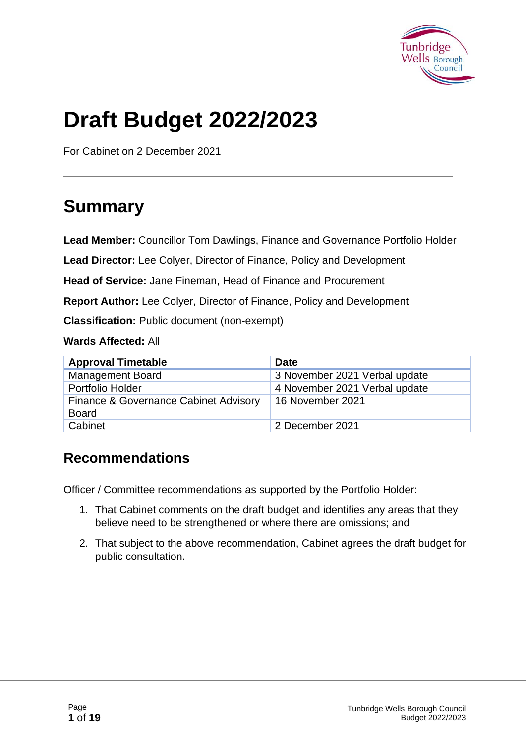

# **Draft Budget 2022/2023**

For Cabinet on 2 December 2021

## **Summary**

**Lead Member:** Councillor Tom Dawlings, Finance and Governance Portfolio Holder

**Lead Director:** Lee Colyer, Director of Finance, Policy and Development

**Head of Service:** Jane Fineman, Head of Finance and Procurement

**Report Author:** Lee Colyer, Director of Finance, Policy and Development

**Classification:** Public document (non-exempt)

**Wards Affected:** All

| <b>Approval Timetable</b>                             | <b>Date</b>                   |
|-------------------------------------------------------|-------------------------------|
| <b>Management Board</b>                               | 3 November 2021 Verbal update |
| Portfolio Holder                                      | 4 November 2021 Verbal update |
| Finance & Governance Cabinet Advisory<br><b>Board</b> | 16 November 2021              |
| Cabinet                                               | 2 December 2021               |

#### **Recommendations**

Officer / Committee recommendations as supported by the Portfolio Holder:

- 1. That Cabinet comments on the draft budget and identifies any areas that they believe need to be strengthened or where there are omissions; and
- 2. That subject to the above recommendation, Cabinet agrees the draft budget for public consultation.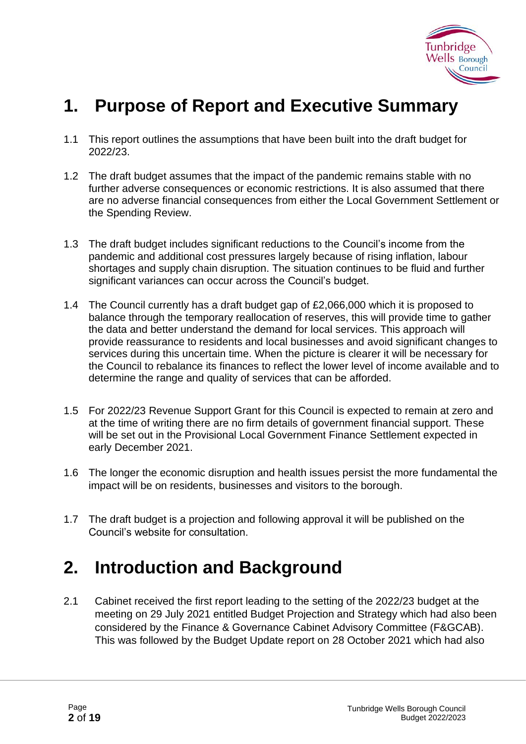

### **1. Purpose of Report and Executive Summary**

- 1.1 This report outlines the assumptions that have been built into the draft budget for 2022/23.
- 1.2 The draft budget assumes that the impact of the pandemic remains stable with no further adverse consequences or economic restrictions. It is also assumed that there are no adverse financial consequences from either the Local Government Settlement or the Spending Review.
- 1.3 The draft budget includes significant reductions to the Council's income from the pandemic and additional cost pressures largely because of rising inflation, labour shortages and supply chain disruption. The situation continues to be fluid and further significant variances can occur across the Council's budget.
- 1.4 The Council currently has a draft budget gap of £2,066,000 which it is proposed to balance through the temporary reallocation of reserves, this will provide time to gather the data and better understand the demand for local services. This approach will provide reassurance to residents and local businesses and avoid significant changes to services during this uncertain time. When the picture is clearer it will be necessary for the Council to rebalance its finances to reflect the lower level of income available and to determine the range and quality of services that can be afforded.
- 1.5 For 2022/23 Revenue Support Grant for this Council is expected to remain at zero and at the time of writing there are no firm details of government financial support. These will be set out in the Provisional Local Government Finance Settlement expected in early December 2021.
- 1.6 The longer the economic disruption and health issues persist the more fundamental the impact will be on residents, businesses and visitors to the borough.
- 1.7 The draft budget is a projection and following approval it will be published on the Council's website for consultation.

### **2. Introduction and Background**

2.1 Cabinet received the first report leading to the setting of the 2022/23 budget at the meeting on 29 July 2021 entitled Budget Projection and Strategy which had also been considered by the Finance & Governance Cabinet Advisory Committee (F&GCAB). This was followed by the Budget Update report on 28 October 2021 which had also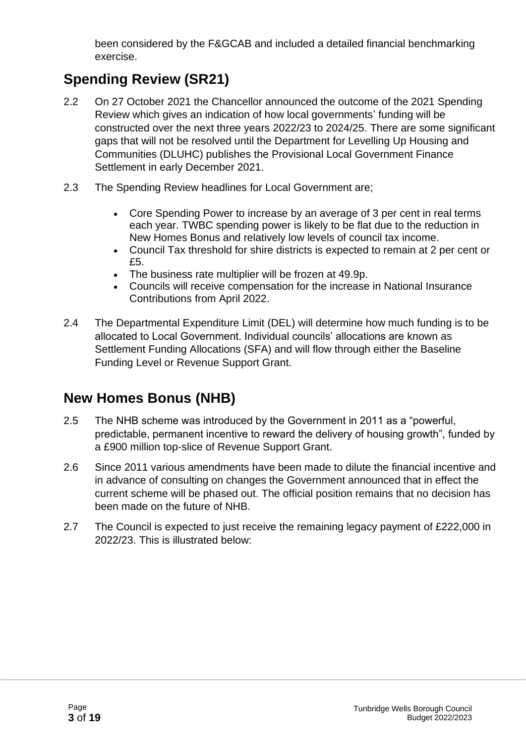been considered by the F&GCAB and included a detailed financial benchmarking exercise.

### **Spending Review (SR21)**

- 2.2 On 27 October 2021 the Chancellor announced the outcome of the 2021 Spending Review which gives an indication of how local governments' funding will be constructed over the next three years 2022/23 to 2024/25. There are some significant gaps that will not be resolved until the Department for Levelling Up Housing and Communities (DLUHC) publishes the Provisional Local Government Finance Settlement in early December 2021.
- 2.3 The Spending Review headlines for Local Government are;
	- Core Spending Power to increase by an average of 3 per cent in real terms each year. TWBC spending power is likely to be flat due to the reduction in New Homes Bonus and relatively low levels of council tax income.
	- Council Tax threshold for shire districts is expected to remain at 2 per cent or £5.
	- The business rate multiplier will be frozen at 49.9p.
	- Councils will receive compensation for the increase in National Insurance Contributions from April 2022.
- 2.4 The Departmental Expenditure Limit (DEL) will determine how much funding is to be allocated to Local Government. Individual councils' allocations are known as Settlement Funding Allocations (SFA) and will flow through either the Baseline Funding Level or Revenue Support Grant.

#### **New Homes Bonus (NHB)**

- 2.5 The NHB scheme was introduced by the Government in 2011 as a "powerful, predictable, permanent incentive to reward the delivery of housing growth", funded by a £900 million top-slice of Revenue Support Grant.
- 2.6 Since 2011 various amendments have been made to dilute the financial incentive and in advance of consulting on changes the Government announced that in effect the current scheme will be phased out. The official position remains that no decision has been made on the future of NHB.
- 2.7 The Council is expected to just receive the remaining legacy payment of £222,000 in 2022/23. This is illustrated below: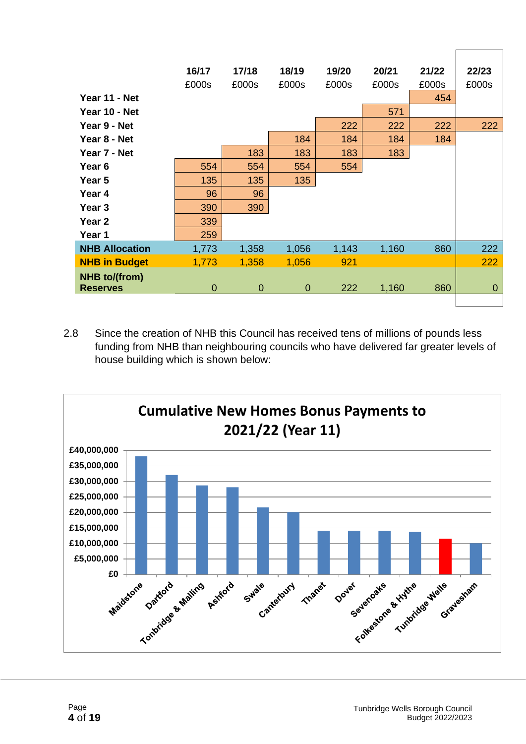| Year 11 - Net                    | 16/17<br>£000s | 17/18<br>£000s | 18/19<br>£000s | 19/20<br>£000s | 20/21<br>£000s | 21/22<br>£000s<br>454 | 22/23<br>£000s |
|----------------------------------|----------------|----------------|----------------|----------------|----------------|-----------------------|----------------|
| Year 10 - Net<br>Year 9 - Net    |                |                |                | 222            | 571<br>222     | 222                   | 222            |
| Year 8 - Net                     |                |                | 184            | 184            | 184            | 184                   |                |
| Year 7 - Net                     |                | 183            | 183            | 183            | 183            |                       |                |
| Year 6                           | 554            | 554            | 554            | 554            |                |                       |                |
| Year 5                           | 135            | 135            | 135            |                |                |                       |                |
| Year 4                           | 96             | 96             |                |                |                |                       |                |
| Year <sub>3</sub>                | 390            | 390            |                |                |                |                       |                |
| Year <sub>2</sub>                | 339            |                |                |                |                |                       |                |
| Year 1                           | 259            |                |                |                |                |                       |                |
| <b>NHB Allocation</b>            | 1,773          | 1,358          | 1,056          | 1,143          | 1,160          | 860                   | 222            |
| <b>NHB in Budget</b>             | 1,773          | 1,358          | 1,056          | 921            |                |                       | 222            |
| NHB to/(from)<br><b>Reserves</b> | 0              | $\overline{0}$ | $\mathbf 0$    | 222            | 1,160          | 860                   | $\overline{0}$ |

2.8 Since the creation of NHB this Council has received tens of millions of pounds less funding from NHB than neighbouring councils who have delivered far greater levels of house building which is shown below:



 $\Gamma$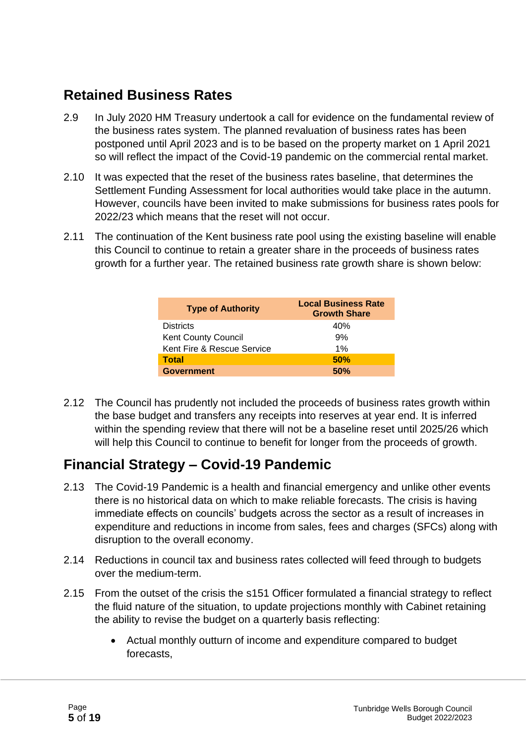#### **Retained Business Rates**

- 2.9 In July 2020 HM Treasury undertook a call for evidence on the fundamental review of the business rates system. The planned revaluation of business rates has been postponed until April 2023 and is to be based on the property market on 1 April 2021 so will reflect the impact of the Covid-19 pandemic on the commercial rental market.
- 2.10 It was expected that the reset of the business rates baseline, that determines the Settlement Funding Assessment for local authorities would take place in the autumn. However, councils have been invited to make submissions for business rates pools for 2022/23 which means that the reset will not occur.
- 2.11 The continuation of the Kent business rate pool using the existing baseline will enable this Council to continue to retain a greater share in the proceeds of business rates growth for a further year. The retained business rate growth share is shown below:

| <b>Type of Authority</b>   | <b>Local Business Rate</b><br><b>Growth Share</b> |  |
|----------------------------|---------------------------------------------------|--|
| <b>Districts</b>           | 40%                                               |  |
| <b>Kent County Council</b> | 9%                                                |  |
| Kent Fire & Rescue Service | 1%                                                |  |
| <b>Total</b>               | 50%                                               |  |
| <b>Government</b>          | 50%                                               |  |

2.12 The Council has prudently not included the proceeds of business rates growth within the base budget and transfers any receipts into reserves at year end. It is inferred within the spending review that there will not be a baseline reset until 2025/26 which will help this Council to continue to benefit for longer from the proceeds of growth.

#### **Financial Strategy – Covid-19 Pandemic**

- 2.13 The Covid-19 Pandemic is a health and financial emergency and unlike other events there is no historical data on which to make reliable forecasts. The crisis is having immediate effects on councils' budgets across the sector as a result of increases in expenditure and reductions in income from sales, fees and charges (SFCs) along with disruption to the overall economy.
- 2.14 Reductions in council tax and business rates collected will feed through to budgets over the medium-term.
- 2.15 From the outset of the crisis the s151 Officer formulated a financial strategy to reflect the fluid nature of the situation, to update projections monthly with Cabinet retaining the ability to revise the budget on a quarterly basis reflecting:
	- Actual monthly outturn of income and expenditure compared to budget forecasts,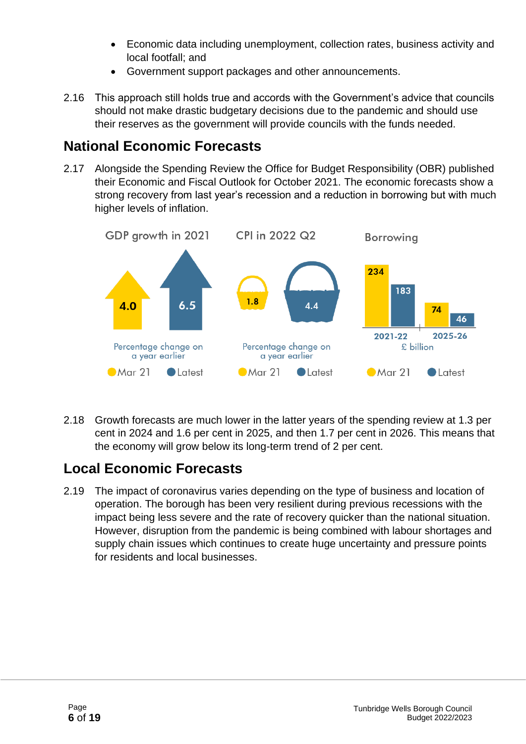- Economic data including unemployment, collection rates, business activity and local footfall; and
- Government support packages and other announcements.
- 2.16 This approach still holds true and accords with the Government's advice that councils should not make drastic budgetary decisions due to the pandemic and should use their reserves as the government will provide councils with the funds needed.

#### **National Economic Forecasts**

2.17 Alongside the Spending Review the Office for Budget Responsibility (OBR) published their Economic and Fiscal Outlook for October 2021. The economic forecasts show a strong recovery from last year's recession and a reduction in borrowing but with much higher levels of inflation.



2.18 Growth forecasts are much lower in the latter years of the spending review at 1.3 per cent in 2024 and 1.6 per cent in 2025, and then 1.7 per cent in 2026. This means that the economy will grow below its long-term trend of 2 per cent.

#### **Local Economic Forecasts**

2.19 The impact of coronavirus varies depending on the type of business and location of operation. The borough has been very resilient during previous recessions with the impact being less severe and the rate of recovery quicker than the national situation. However, disruption from the pandemic is being combined with labour shortages and supply chain issues which continues to create huge uncertainty and pressure points for residents and local businesses.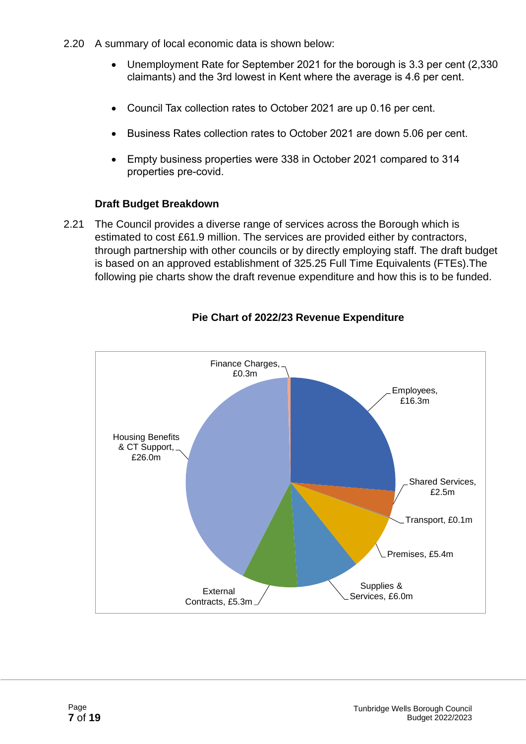- 2.20 A summary of local economic data is shown below:
	- Unemployment Rate for September 2021 for the borough is 3.3 per cent (2,330 claimants) and the 3rd lowest in Kent where the average is 4.6 per cent.
	- Council Tax collection rates to October 2021 are up 0.16 per cent.
	- Business Rates collection rates to October 2021 are down 5.06 per cent.
	- Empty business properties were 338 in October 2021 compared to 314 properties pre-covid.

#### **Draft Budget Breakdown**

2.21 The Council provides a diverse range of services across the Borough which is estimated to cost £61.9 million. The services are provided either by contractors, through partnership with other councils or by directly employing staff. The draft budget is based on an approved establishment of 325.25 Full Time Equivalents (FTEs).The following pie charts show the draft revenue expenditure and how this is to be funded.



#### **Pie Chart of 2022/23 Revenue Expenditure**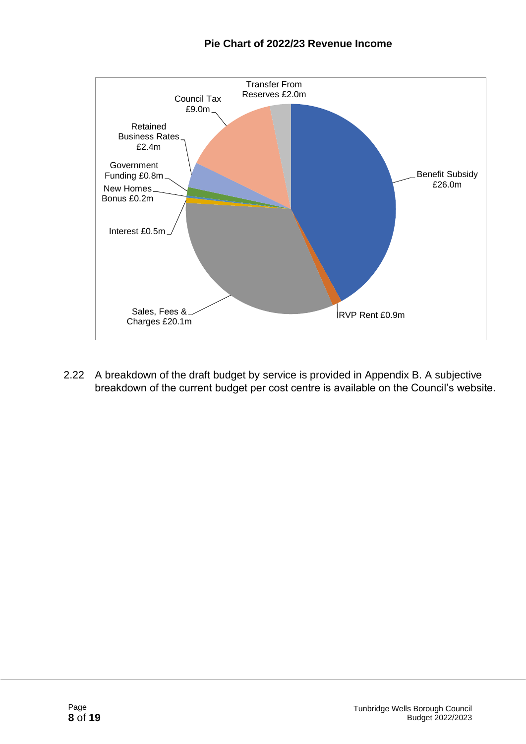#### **Pie Chart of 2022/23 Revenue Income**



2.22 A breakdown of the draft budget by service is provided in Appendix B. A subjective breakdown of the current budget per cost centre is available on the Council's website.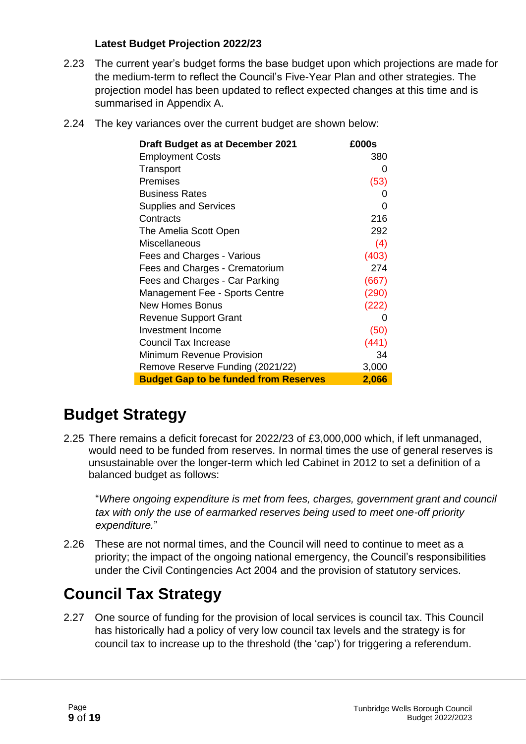#### **Latest Budget Projection 2022/23**

- 2.23 The current year's budget forms the base budget upon which projections are made for the medium-term to reflect the Council's Five-Year Plan and other strategies. The projection model has been updated to reflect expected changes at this time and is summarised in Appendix A.
- 2.24 The key variances over the current budget are shown below:

| Draft Budget as at December 2021             | £000s |
|----------------------------------------------|-------|
| <b>Employment Costs</b>                      | 380   |
| Transport                                    | 0     |
| Premises                                     | (53)  |
| <b>Business Rates</b>                        | 0     |
| <b>Supplies and Services</b>                 | 0     |
| Contracts                                    | 216   |
| The Amelia Scott Open                        | 292   |
| Miscellaneous                                | (4)   |
| Fees and Charges - Various                   | (403) |
| Fees and Charges - Crematorium               | 274   |
| Fees and Charges - Car Parking               | (667) |
| Management Fee - Sports Centre               | (290) |
| New Homes Bonus                              | (222) |
| <b>Revenue Support Grant</b>                 | 0     |
| Investment Income                            | (50)  |
| <b>Council Tax Increase</b>                  | (441) |
| Minimum Revenue Provision                    | 34    |
| Remove Reserve Funding (2021/22)             | 3,000 |
| <b>Budget Gap to be funded from Reserves</b> | 2,066 |

### **Budget Strategy**

2.25 There remains a deficit forecast for 2022/23 of £3,000,000 which, if left unmanaged, would need to be funded from reserves. In normal times the use of general reserves is unsustainable over the longer-term which led Cabinet in 2012 to set a definition of a balanced budget as follows:

"*Where ongoing expenditure is met from fees, charges, government grant and council tax with only the use of earmarked reserves being used to meet one-off priority expenditure.*"

2.26 These are not normal times, and the Council will need to continue to meet as a priority; the impact of the ongoing national emergency, the Council's responsibilities under the Civil Contingencies Act 2004 and the provision of statutory services.

### **Council Tax Strategy**

2.27 One source of funding for the provision of local services is council tax. This Council has historically had a policy of very low council tax levels and the strategy is for council tax to increase up to the threshold (the 'cap') for triggering a referendum.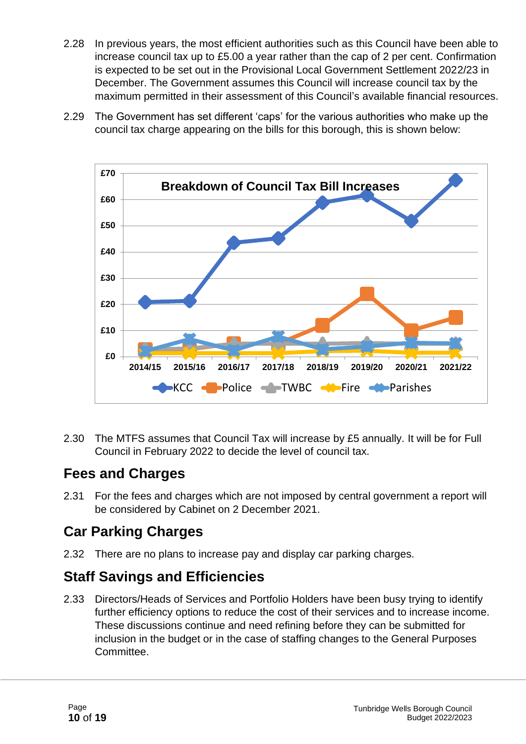- 2.28 In previous years, the most efficient authorities such as this Council have been able to increase council tax up to £5.00 a year rather than the cap of 2 per cent. Confirmation is expected to be set out in the Provisional Local Government Settlement 2022/23 in December. The Government assumes this Council will increase council tax by the maximum permitted in their assessment of this Council's available financial resources.
- 2.29 The Government has set different 'caps' for the various authorities who make up the council tax charge appearing on the bills for this borough, this is shown below:



2.30 The MTFS assumes that Council Tax will increase by £5 annually. It will be for Full Council in February 2022 to decide the level of council tax.

#### **Fees and Charges**

2.31 For the fees and charges which are not imposed by central government a report will be considered by Cabinet on 2 December 2021.

#### **Car Parking Charges**

2.32 There are no plans to increase pay and display car parking charges.

#### **Staff Savings and Efficiencies**

2.33 Directors/Heads of Services and Portfolio Holders have been busy trying to identify further efficiency options to reduce the cost of their services and to increase income. These discussions continue and need refining before they can be submitted for inclusion in the budget or in the case of staffing changes to the General Purposes Committee.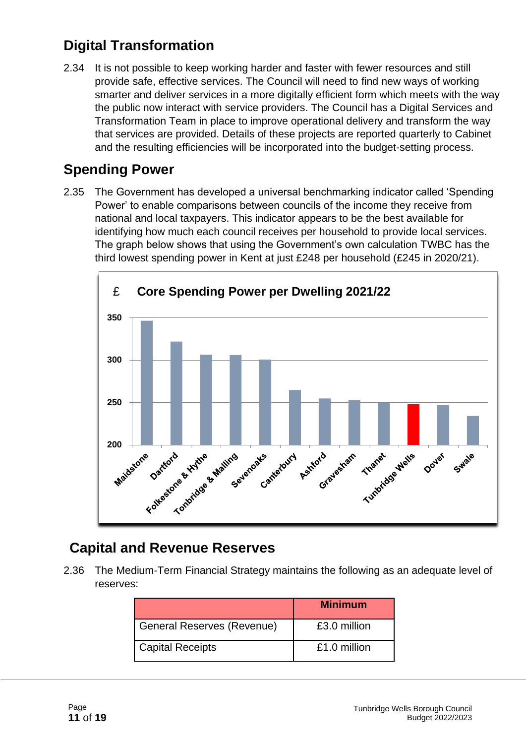#### **Digital Transformation**

2.34 It is not possible to keep working harder and faster with fewer resources and still provide safe, effective services. The Council will need to find new ways of working smarter and deliver services in a more digitally efficient form which meets with the way the public now interact with service providers. The Council has a Digital Services and Transformation Team in place to improve operational delivery and transform the way that services are provided. Details of these projects are reported quarterly to Cabinet and the resulting efficiencies will be incorporated into the budget-setting process.

#### **Spending Power**

2.35 The Government has developed a universal benchmarking indicator called 'Spending Power' to enable comparisons between councils of the income they receive from national and local taxpayers. This indicator appears to be the best available for identifying how much each council receives per household to provide local services. The graph below shows that using the Government's own calculation TWBC has the third lowest spending power in Kent at just £248 per household (£245 in 2020/21).



#### **Capital and Revenue Reserves**

2.36 The Medium-Term Financial Strategy maintains the following as an adequate level of reserves:

|                                   | <b>Minimum</b> |
|-----------------------------------|----------------|
| <b>General Reserves (Revenue)</b> | £3.0 million   |
| <b>Capital Receipts</b>           | £1.0 million   |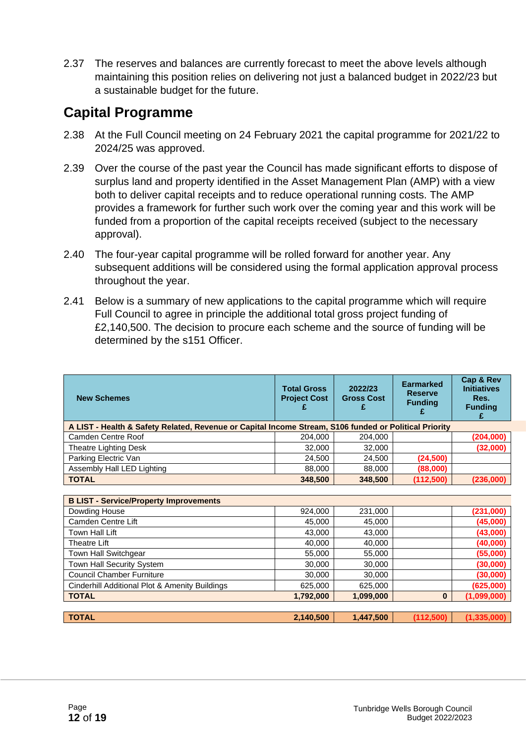2.37 The reserves and balances are currently forecast to meet the above levels although maintaining this position relies on delivering not just a balanced budget in 2022/23 but a sustainable budget for the future.

#### **Capital Programme**

- 2.38 At the Full Council meeting on 24 February 2021 the capital programme for 2021/22 to 2024/25 was approved.
- 2.39 Over the course of the past year the Council has made significant efforts to dispose of surplus land and property identified in the Asset Management Plan (AMP) with a view both to deliver capital receipts and to reduce operational running costs. The AMP provides a framework for further such work over the coming year and this work will be funded from a proportion of the capital receipts received (subject to the necessary approval).
- 2.40 The four-year capital programme will be rolled forward for another year. Any subsequent additions will be considered using the formal application approval process throughout the year.
- 2.41 Below is a summary of new applications to the capital programme which will require Full Council to agree in principle the additional total gross project funding of £2,140,500. The decision to procure each scheme and the source of funding will be determined by the s151 Officer.

| <b>New Schemes</b>                                                                                    | <b>Total Gross</b><br><b>Project Cost</b> | 2022/23<br><b>Gross Cost</b><br>£ | <b>Earmarked</b><br><b>Reserve</b><br><b>Funding</b> | Cap & Rev<br><b>Initiatives</b><br>Res.<br><b>Funding</b><br>£ |  |  |  |  |
|-------------------------------------------------------------------------------------------------------|-------------------------------------------|-----------------------------------|------------------------------------------------------|----------------------------------------------------------------|--|--|--|--|
| A LIST - Health & Safety Related, Revenue or Capital Income Stream, S106 funded or Political Priority |                                           |                                   |                                                      |                                                                |  |  |  |  |
| Camden Centre Roof                                                                                    | 204,000                                   | 204,000                           |                                                      | (204, 000)                                                     |  |  |  |  |
| Theatre Lighting Desk                                                                                 | 32,000                                    | 32,000                            |                                                      | (32,000)                                                       |  |  |  |  |
| Parking Electric Van                                                                                  | 24,500                                    | 24,500                            | (24, 500)                                            |                                                                |  |  |  |  |
| Assembly Hall LED Lighting                                                                            | 88,000                                    | 88,000                            | (88,000)                                             |                                                                |  |  |  |  |
| <b>TOTAL</b>                                                                                          | 348,500                                   | 348,500                           | (112,500)                                            | (236,000)                                                      |  |  |  |  |
| <b>B LIST - Service/Property Improvements</b>                                                         |                                           |                                   |                                                      |                                                                |  |  |  |  |
| Dowding House                                                                                         | 924,000                                   | 231,000                           |                                                      | (231,000)                                                      |  |  |  |  |
| Camden Centre Lift                                                                                    | 45,000                                    | 45,000                            |                                                      | (45,000)                                                       |  |  |  |  |
| Town Hall Lift                                                                                        | 43,000                                    | 43,000                            |                                                      | (43,000)                                                       |  |  |  |  |
| Theatre Lift                                                                                          | 40,000                                    | 40,000                            |                                                      | (40,000)                                                       |  |  |  |  |
| Town Hall Switchgear                                                                                  | 55,000                                    | 55,000                            |                                                      | (55,000)                                                       |  |  |  |  |
| Town Hall Security System                                                                             | 30,000                                    | 30,000                            |                                                      | (30,000)                                                       |  |  |  |  |
| <b>Council Chamber Furniture</b>                                                                      | 30,000                                    | 30,000                            |                                                      | (30,000)                                                       |  |  |  |  |
| Cinderhill Additional Plot & Amenity Buildings                                                        | 625,000                                   | 625,000                           |                                                      | (625,000)                                                      |  |  |  |  |
| <b>TOTAL</b>                                                                                          | 1,792,000                                 | 1,099,000                         | $\mathbf{0}$                                         | (1,099,000)                                                    |  |  |  |  |
|                                                                                                       |                                           |                                   |                                                      |                                                                |  |  |  |  |
| <b>TOTAL</b>                                                                                          | 2,140,500                                 | 1,447,500                         | (112,500)                                            | (1, 335, 000)                                                  |  |  |  |  |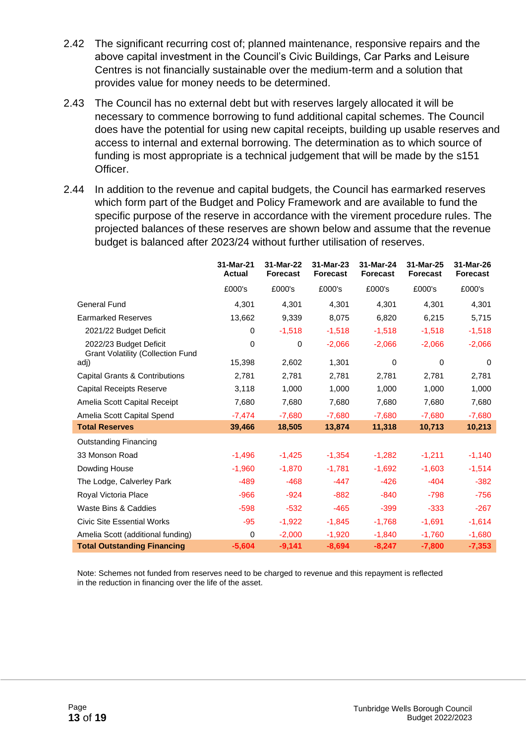- 2.42 The significant recurring cost of; planned maintenance, responsive repairs and the above capital investment in the Council's Civic Buildings, Car Parks and Leisure Centres is not financially sustainable over the medium-term and a solution that provides value for money needs to be determined.
- 2.43 The Council has no external debt but with reserves largely allocated it will be necessary to commence borrowing to fund additional capital schemes. The Council does have the potential for using new capital receipts, building up usable reserves and access to internal and external borrowing. The determination as to which source of funding is most appropriate is a technical judgement that will be made by the s151 Officer.
- 2.44 In addition to the revenue and capital budgets, the Council has earmarked reserves which form part of the Budget and Policy Framework and are available to fund the specific purpose of the reserve in accordance with the virement procedure rules. The projected balances of these reserves are shown below and assume that the revenue budget is balanced after 2023/24 without further utilisation of reserves.

|                                                                    | 31-Mar-21<br><b>Actual</b> | 31-Mar-22<br><b>Forecast</b> | 31-Mar-23<br><b>Forecast</b> | 31-Mar-24<br><b>Forecast</b> | 31-Mar-25<br><b>Forecast</b> | 31-Mar-26<br><b>Forecast</b> |
|--------------------------------------------------------------------|----------------------------|------------------------------|------------------------------|------------------------------|------------------------------|------------------------------|
|                                                                    | £000's                     | £000's                       | £000's                       | £000's                       | £000's                       | £000's                       |
| <b>General Fund</b>                                                | 4,301                      | 4,301                        | 4,301                        | 4,301                        | 4,301                        | 4,301                        |
| <b>Earmarked Reserves</b>                                          | 13,662                     | 9,339                        | 8,075                        | 6,820                        | 6,215                        | 5,715                        |
| 2021/22 Budget Deficit                                             | $\Omega$                   | $-1,518$                     | $-1,518$                     | $-1,518$                     | $-1,518$                     | $-1,518$                     |
| 2022/23 Budget Deficit<br><b>Grant Volatility (Collection Fund</b> | 0                          | 0                            | $-2,066$                     | $-2,066$                     | $-2,066$                     | $-2,066$                     |
| adj)                                                               | 15,398                     | 2,602                        | 1,301                        | 0                            | 0                            | $\Omega$                     |
| Capital Grants & Contributions                                     | 2,781                      | 2,781                        | 2,781                        | 2,781                        | 2,781                        | 2,781                        |
| <b>Capital Receipts Reserve</b>                                    | 3,118                      | 1,000                        | 1,000                        | 1,000                        | 1,000                        | 1,000                        |
| Amelia Scott Capital Receipt                                       | 7,680                      | 7,680                        | 7,680                        | 7,680                        | 7,680                        | 7,680                        |
| Amelia Scott Capital Spend                                         | $-7,474$                   | $-7,680$                     | $-7,680$                     | $-7,680$                     | $-7,680$                     | $-7,680$                     |
| <b>Total Reserves</b>                                              | 39,466                     | 18,505                       | 13,874                       | 11,318                       | 10,713                       | 10,213                       |
| <b>Outstanding Financing</b>                                       |                            |                              |                              |                              |                              |                              |
| 33 Monson Road                                                     | $-1,496$                   | $-1,425$                     | $-1,354$                     | $-1,282$                     | $-1,211$                     | $-1,140$                     |
| Dowding House                                                      | $-1,960$                   | $-1,870$                     | $-1,781$                     | $-1,692$                     | $-1,603$                     | $-1,514$                     |
| The Lodge, Calverley Park                                          | $-489$                     | $-468$                       | $-447$                       | $-426$                       | $-404$                       | $-382$                       |
| Royal Victoria Place                                               | $-966$                     | $-924$                       | $-882$                       | $-840$                       | $-798$                       | $-756$                       |
| Waste Bins & Caddies                                               | $-598$                     | $-532$                       | $-465$                       | $-399$                       | $-333$                       | $-267$                       |
| <b>Civic Site Essential Works</b>                                  | $-95$                      | $-1,922$                     | $-1,845$                     | $-1,768$                     | $-1,691$                     | $-1,614$                     |
| Amelia Scott (additional funding)                                  | $\Omega$                   | $-2,000$                     | $-1,920$                     | $-1,840$                     | $-1,760$                     | $-1,680$                     |
| <b>Total Outstanding Financing</b>                                 | $-5,604$                   | $-9,141$                     | $-8,694$                     | $-8,247$                     | $-7,800$                     | $-7,353$                     |

Note: Schemes not funded from reserves need to be charged to revenue and this repayment is reflected in the reduction in financing over the life of the asset.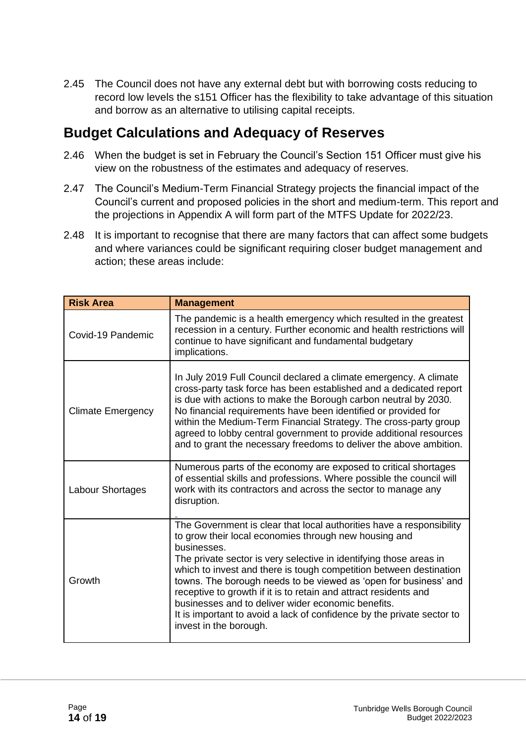2.45 The Council does not have any external debt but with borrowing costs reducing to record low levels the s151 Officer has the flexibility to take advantage of this situation and borrow as an alternative to utilising capital receipts.

#### **Budget Calculations and Adequacy of Reserves**

- 2.46 When the budget is set in February the Council's Section 151 Officer must give his view on the robustness of the estimates and adequacy of reserves.
- 2.47 The Council's Medium-Term Financial Strategy projects the financial impact of the Council's current and proposed policies in the short and medium-term. This report and the projections in Appendix A will form part of the MTFS Update for 2022/23.
- 2.48 It is important to recognise that there are many factors that can affect some budgets and where variances could be significant requiring closer budget management and action; these areas include:

| <b>Risk Area</b>         | <b>Management</b>                                                                                                                                                                                                                                                                                                                                                                                                                                                                                                                                                                          |
|--------------------------|--------------------------------------------------------------------------------------------------------------------------------------------------------------------------------------------------------------------------------------------------------------------------------------------------------------------------------------------------------------------------------------------------------------------------------------------------------------------------------------------------------------------------------------------------------------------------------------------|
| Covid-19 Pandemic        | The pandemic is a health emergency which resulted in the greatest<br>recession in a century. Further economic and health restrictions will<br>continue to have significant and fundamental budgetary<br>implications.                                                                                                                                                                                                                                                                                                                                                                      |
| <b>Climate Emergency</b> | In July 2019 Full Council declared a climate emergency. A climate<br>cross-party task force has been established and a dedicated report<br>is due with actions to make the Borough carbon neutral by 2030.<br>No financial requirements have been identified or provided for<br>within the Medium-Term Financial Strategy. The cross-party group<br>agreed to lobby central government to provide additional resources<br>and to grant the necessary freedoms to deliver the above ambition.                                                                                               |
| Labour Shortages         | Numerous parts of the economy are exposed to critical shortages<br>of essential skills and professions. Where possible the council will<br>work with its contractors and across the sector to manage any<br>disruption.                                                                                                                                                                                                                                                                                                                                                                    |
| Growth                   | The Government is clear that local authorities have a responsibility<br>to grow their local economies through new housing and<br>businesses.<br>The private sector is very selective in identifying those areas in<br>which to invest and there is tough competition between destination<br>towns. The borough needs to be viewed as 'open for business' and<br>receptive to growth if it is to retain and attract residents and<br>businesses and to deliver wider economic benefits.<br>It is important to avoid a lack of confidence by the private sector to<br>invest in the borough. |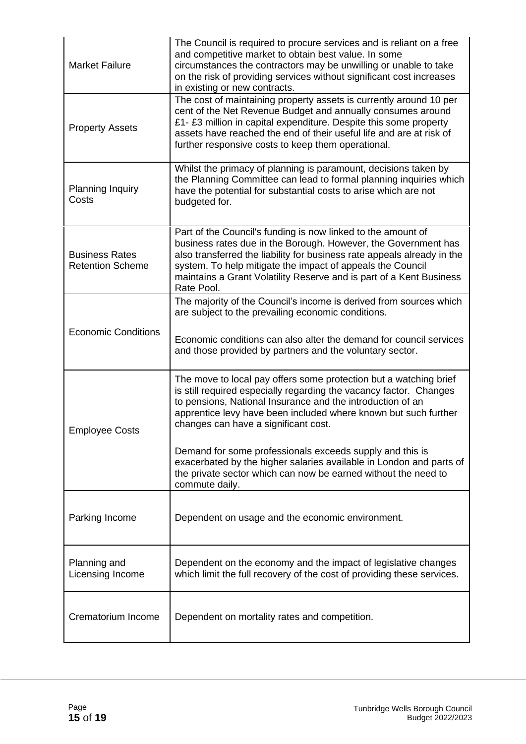| <b>Market Failure</b>                            | The Council is required to procure services and is reliant on a free<br>and competitive market to obtain best value. In some<br>circumstances the contractors may be unwilling or unable to take<br>on the risk of providing services without significant cost increases<br>in existing or new contracts.                                                    |
|--------------------------------------------------|--------------------------------------------------------------------------------------------------------------------------------------------------------------------------------------------------------------------------------------------------------------------------------------------------------------------------------------------------------------|
| <b>Property Assets</b>                           | The cost of maintaining property assets is currently around 10 per<br>cent of the Net Revenue Budget and annually consumes around<br>£1- £3 million in capital expenditure. Despite this some property<br>assets have reached the end of their useful life and are at risk of<br>further responsive costs to keep them operational.                          |
| Planning Inquiry<br>Costs                        | Whilst the primacy of planning is paramount, decisions taken by<br>the Planning Committee can lead to formal planning inquiries which<br>have the potential for substantial costs to arise which are not<br>budgeted for.                                                                                                                                    |
| <b>Business Rates</b><br><b>Retention Scheme</b> | Part of the Council's funding is now linked to the amount of<br>business rates due in the Borough. However, the Government has<br>also transferred the liability for business rate appeals already in the<br>system. To help mitigate the impact of appeals the Council<br>maintains a Grant Volatility Reserve and is part of a Kent Business<br>Rate Pool. |
|                                                  | The majority of the Council's income is derived from sources which<br>are subject to the prevailing economic conditions.                                                                                                                                                                                                                                     |
| <b>Economic Conditions</b>                       | Economic conditions can also alter the demand for council services<br>and those provided by partners and the voluntary sector.                                                                                                                                                                                                                               |
| <b>Employee Costs</b>                            | The move to local pay offers some protection but a watching brief<br>is still required especially regarding the vacancy factor. Changes<br>to pensions, National Insurance and the introduction of an<br>apprentice levy have been included where known but such further<br>changes can have a significant cost.                                             |
|                                                  | Demand for some professionals exceeds supply and this is<br>exacerbated by the higher salaries available in London and parts of<br>the private sector which can now be earned without the need to<br>commute daily.                                                                                                                                          |
| Parking Income                                   | Dependent on usage and the economic environment.                                                                                                                                                                                                                                                                                                             |
| Planning and<br>Licensing Income                 | Dependent on the economy and the impact of legislative changes<br>which limit the full recovery of the cost of providing these services.                                                                                                                                                                                                                     |
| Crematorium Income                               | Dependent on mortality rates and competition.                                                                                                                                                                                                                                                                                                                |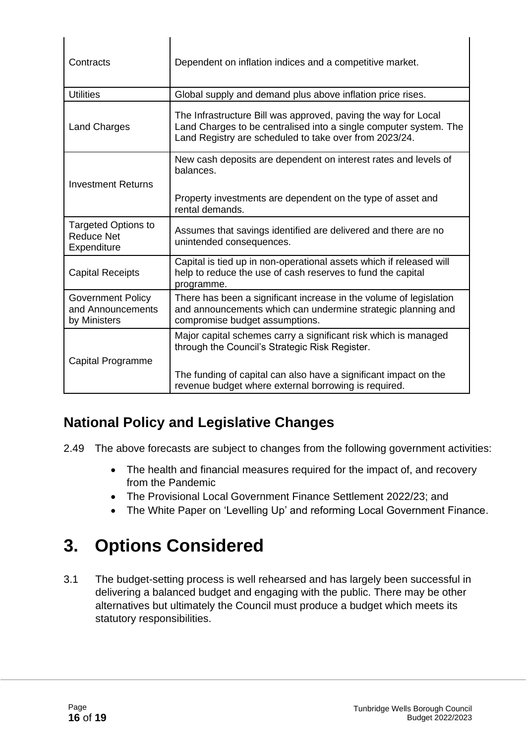| Contracts                                                      | Dependent on inflation indices and a competitive market.                                                                                                                                      |
|----------------------------------------------------------------|-----------------------------------------------------------------------------------------------------------------------------------------------------------------------------------------------|
| <b>Utilities</b>                                               | Global supply and demand plus above inflation price rises.                                                                                                                                    |
| <b>Land Charges</b>                                            | The Infrastructure Bill was approved, paving the way for Local<br>Land Charges to be centralised into a single computer system. The<br>Land Registry are scheduled to take over from 2023/24. |
| <b>Investment Returns</b>                                      | New cash deposits are dependent on interest rates and levels of<br>balances.                                                                                                                  |
|                                                                | Property investments are dependent on the type of asset and<br>rental demands.                                                                                                                |
| <b>Targeted Options to</b><br><b>Reduce Net</b><br>Expenditure | Assumes that savings identified are delivered and there are no<br>unintended consequences.                                                                                                    |
| <b>Capital Receipts</b>                                        | Capital is tied up in non-operational assets which if released will<br>help to reduce the use of cash reserves to fund the capital<br>programme.                                              |
| <b>Government Policy</b><br>and Announcements<br>by Ministers  | There has been a significant increase in the volume of legislation<br>and announcements which can undermine strategic planning and<br>compromise budget assumptions.                          |
| Capital Programme                                              | Major capital schemes carry a significant risk which is managed<br>through the Council's Strategic Risk Register.                                                                             |
|                                                                | The funding of capital can also have a significant impact on the<br>revenue budget where external borrowing is required.                                                                      |

#### **National Policy and Legislative Changes**

2.49 The above forecasts are subject to changes from the following government activities:

- The health and financial measures required for the impact of, and recovery from the Pandemic
- The Provisional Local Government Finance Settlement 2022/23; and
- The White Paper on 'Levelling Up' and reforming Local Government Finance.

## **3. Options Considered**

3.1 The budget-setting process is well rehearsed and has largely been successful in delivering a balanced budget and engaging with the public. There may be other alternatives but ultimately the Council must produce a budget which meets its statutory responsibilities.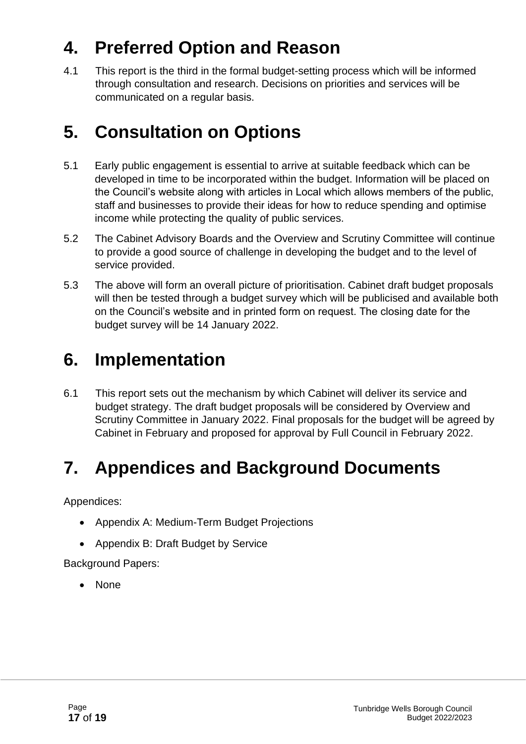## **4. Preferred Option and Reason**

4.1 This report is the third in the formal budget-setting process which will be informed through consultation and research. Decisions on priorities and services will be communicated on a regular basis.

### **5. Consultation on Options**

- 5.1 Early public engagement is essential to arrive at suitable feedback which can be developed in time to be incorporated within the budget. Information will be placed on the Council's website along with articles in Local which allows members of the public, staff and businesses to provide their ideas for how to reduce spending and optimise income while protecting the quality of public services.
- 5.2 The Cabinet Advisory Boards and the Overview and Scrutiny Committee will continue to provide a good source of challenge in developing the budget and to the level of service provided.
- 5.3 The above will form an overall picture of prioritisation. Cabinet draft budget proposals will then be tested through a budget survey which will be publicised and available both on the Council's website and in printed form on request. The closing date for the budget survey will be 14 January 2022.

## **6. Implementation**

6.1 This report sets out the mechanism by which Cabinet will deliver its service and budget strategy. The draft budget proposals will be considered by Overview and Scrutiny Committee in January 2022. Final proposals for the budget will be agreed by Cabinet in February and proposed for approval by Full Council in February 2022.

### **7. Appendices and Background Documents**

Appendices:

- Appendix A: Medium-Term Budget Projections
- Appendix B: Draft Budget by Service

Background Papers:

• None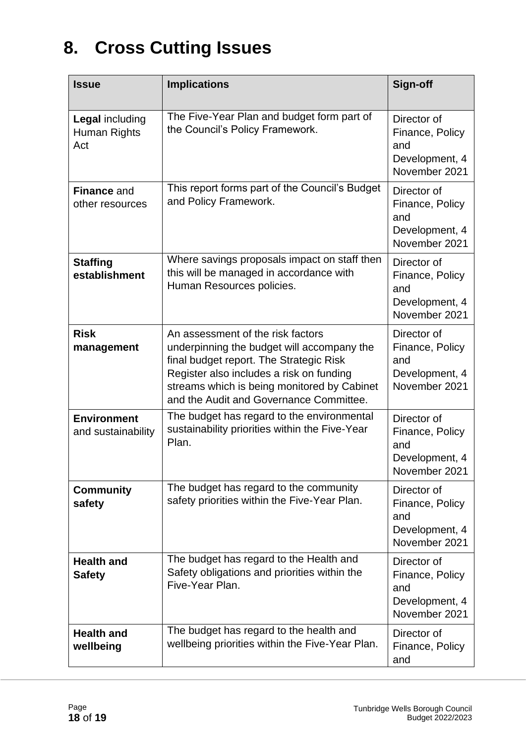## **8. Cross Cutting Issues**

| <b>Issue</b>                                  | <b>Implications</b>                                                                                                                                                                                                                                              | Sign-off                                                                 |
|-----------------------------------------------|------------------------------------------------------------------------------------------------------------------------------------------------------------------------------------------------------------------------------------------------------------------|--------------------------------------------------------------------------|
| <b>Legal including</b><br>Human Rights<br>Act | The Five-Year Plan and budget form part of<br>the Council's Policy Framework.                                                                                                                                                                                    | Director of<br>Finance, Policy<br>and<br>Development, 4<br>November 2021 |
| <b>Finance and</b><br>other resources         | This report forms part of the Council's Budget<br>and Policy Framework.                                                                                                                                                                                          | Director of<br>Finance, Policy<br>and<br>Development, 4<br>November 2021 |
| <b>Staffing</b><br>establishment              | Where savings proposals impact on staff then<br>this will be managed in accordance with<br>Human Resources policies.                                                                                                                                             | Director of<br>Finance, Policy<br>and<br>Development, 4<br>November 2021 |
| <b>Risk</b><br>management                     | An assessment of the risk factors<br>underpinning the budget will accompany the<br>final budget report. The Strategic Risk<br>Register also includes a risk on funding<br>streams which is being monitored by Cabinet<br>and the Audit and Governance Committee. | Director of<br>Finance, Policy<br>and<br>Development, 4<br>November 2021 |
| <b>Environment</b><br>and sustainability      | The budget has regard to the environmental<br>sustainability priorities within the Five-Year<br>Plan.                                                                                                                                                            | Director of<br>Finance, Policy<br>and<br>Development, 4<br>November 2021 |
| <b>Community</b><br>safety                    | The budget has regard to the community<br>safety priorities within the Five-Year Plan.                                                                                                                                                                           | Director of<br>Finance, Policy<br>and<br>Development, 4<br>November 2021 |
| <b>Health and</b><br><b>Safety</b>            | The budget has regard to the Health and<br>Safety obligations and priorities within the<br>Five-Year Plan.                                                                                                                                                       | Director of<br>Finance, Policy<br>and<br>Development, 4<br>November 2021 |
| <b>Health and</b><br>wellbeing                | The budget has regard to the health and<br>wellbeing priorities within the Five-Year Plan.                                                                                                                                                                       | Director of<br>Finance, Policy<br>and                                    |